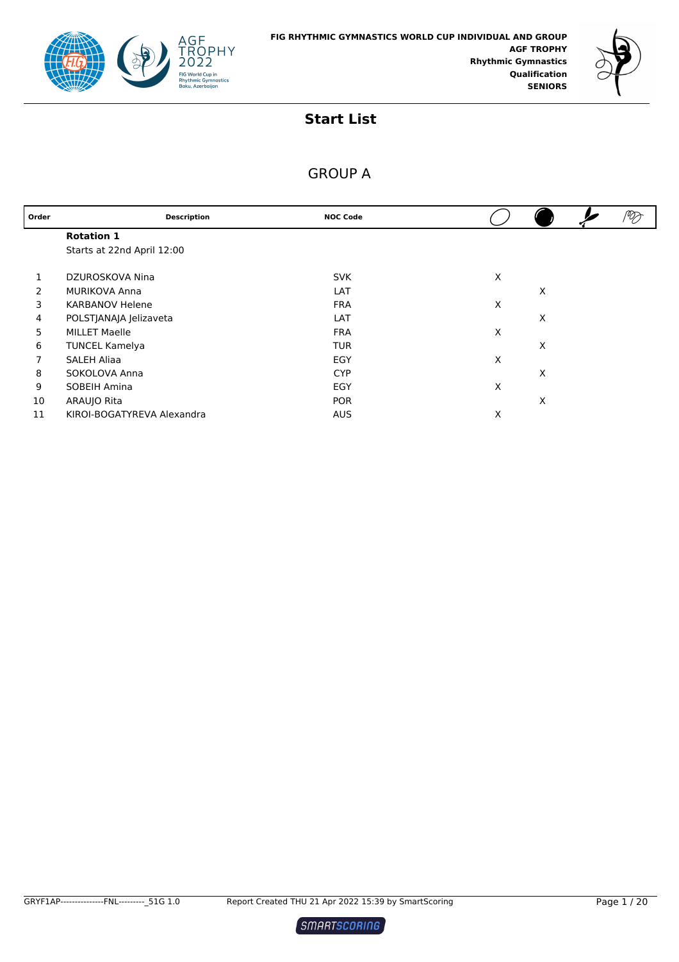



| Order | <b>Description</b>         | <b>NOC Code</b> |   |   | ⅋ |
|-------|----------------------------|-----------------|---|---|---|
|       | <b>Rotation 1</b>          |                 |   |   |   |
|       | Starts at 22nd April 12:00 |                 |   |   |   |
|       | DZUROSKOVA Nina            | <b>SVK</b>      | X |   |   |
| 2     | <b>MURIKOVA Anna</b>       | LAT             |   | X |   |
| 3     | <b>KARBANOV Helene</b>     | <b>FRA</b>      | X |   |   |
| 4     | POLSTJANAJA Jelizaveta     | LAT             |   | X |   |
| 5     | <b>MILLET Maelle</b>       | <b>FRA</b>      | X |   |   |
| 6     | <b>TUNCEL Kamelya</b>      | <b>TUR</b>      |   | X |   |
|       | <b>SALEH Aliaa</b>         | EGY             | X |   |   |
| 8     | SOKOLOVA Anna              | <b>CYP</b>      |   | X |   |
| 9     | SOBEIH Amina               | EGY             | X |   |   |
| 10    | ARAUJO Rita                | <b>POR</b>      |   | X |   |
| 11    | KIROI-BOGATYREVA Alexandra | <b>AUS</b>      | X |   |   |

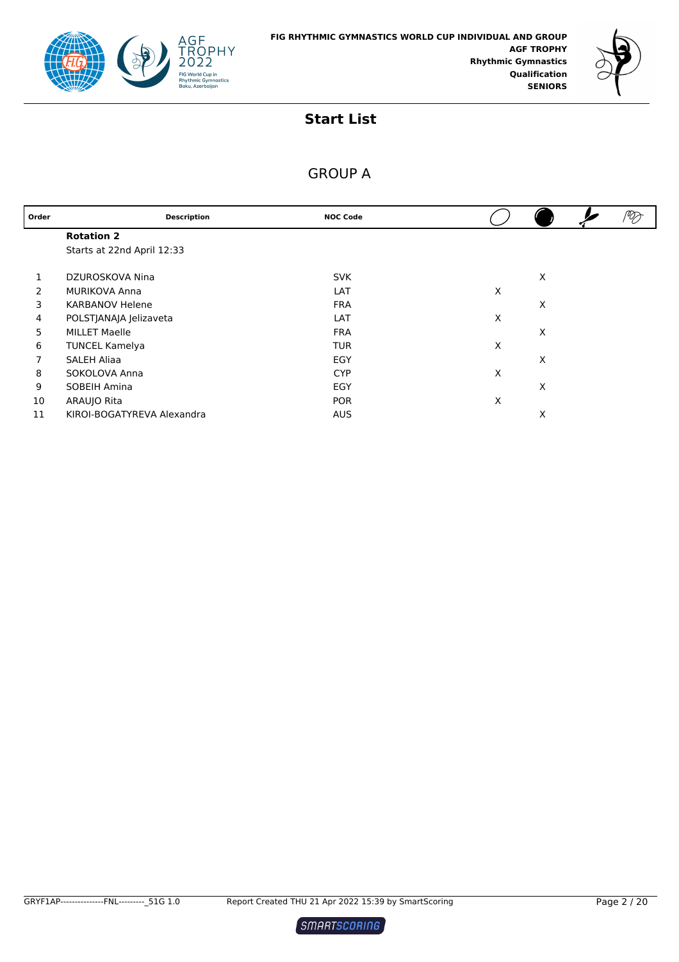



| Order | <b>Description</b>         | <b>NOC Code</b> |   |   | ⅋ |
|-------|----------------------------|-----------------|---|---|---|
|       | <b>Rotation 2</b>          |                 |   |   |   |
|       | Starts at 22nd April 12:33 |                 |   |   |   |
|       | DZUROSKOVA Nina            | <b>SVK</b>      |   | X |   |
| 2     | <b>MURIKOVA Anna</b>       | LAT             | X |   |   |
| 3     | <b>KARBANOV Helene</b>     | <b>FRA</b>      |   | X |   |
| 4     | POLSTJANAJA Jelizaveta     | LAT             | X |   |   |
| 5     | <b>MILLET Maelle</b>       | <b>FRA</b>      |   | X |   |
| 6     | <b>TUNCEL Kamelya</b>      | <b>TUR</b>      | X |   |   |
|       | <b>SALEH Aliaa</b>         | EGY             |   | X |   |
| 8     | SOKOLOVA Anna              | <b>CYP</b>      | X |   |   |
| 9     | SOBEIH Amina               | EGY             |   | X |   |
| 10    | ARAUJO Rita                | <b>POR</b>      | X |   |   |
| 11    | KIROI-BOGATYREVA Alexandra | <b>AUS</b>      |   | X |   |

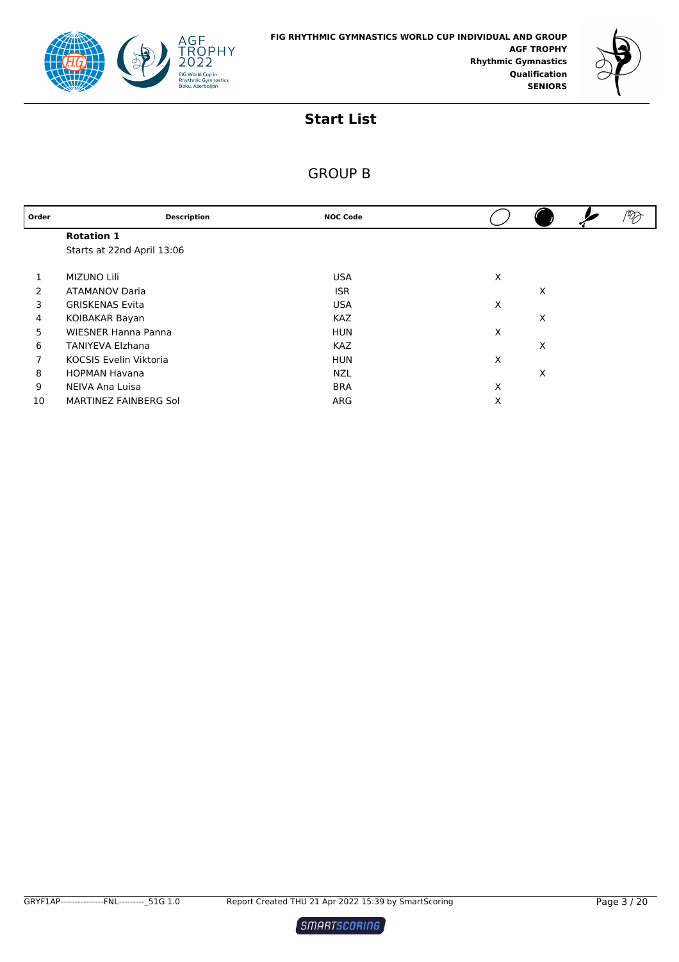



| Order | <b>Description</b>            | <b>NOC Code</b> |   |   |  |
|-------|-------------------------------|-----------------|---|---|--|
|       | <b>Rotation 1</b>             |                 |   |   |  |
|       | Starts at 22nd April 13:06    |                 |   |   |  |
|       |                               |                 |   |   |  |
|       | <b>MIZUNO Lili</b>            | <b>USA</b>      | X |   |  |
| 2     | <b>ATAMANOV Daria</b>         | <b>ISR</b>      |   | X |  |
| 3     | <b>GRISKENAS Evita</b>        | <b>USA</b>      | X |   |  |
| 4     | KOIBAKAR Bayan                | <b>KAZ</b>      |   | X |  |
| 5     | <b>WIESNER Hanna Panna</b>    | <b>HUN</b>      | X |   |  |
| 6     | <b>TANIYEVA Elzhana</b>       | <b>KAZ</b>      |   | X |  |
| 7     | <b>KOCSIS Evelin Viktoria</b> | <b>HUN</b>      | X |   |  |
| 8     | <b>HOPMAN Havana</b>          | <b>NZL</b>      |   | X |  |
| 9     | NEIVA Ana Luisa               | <b>BRA</b>      | X |   |  |
| 10    | MARTINEZ FAINBERG Sol         | ARG             | X |   |  |

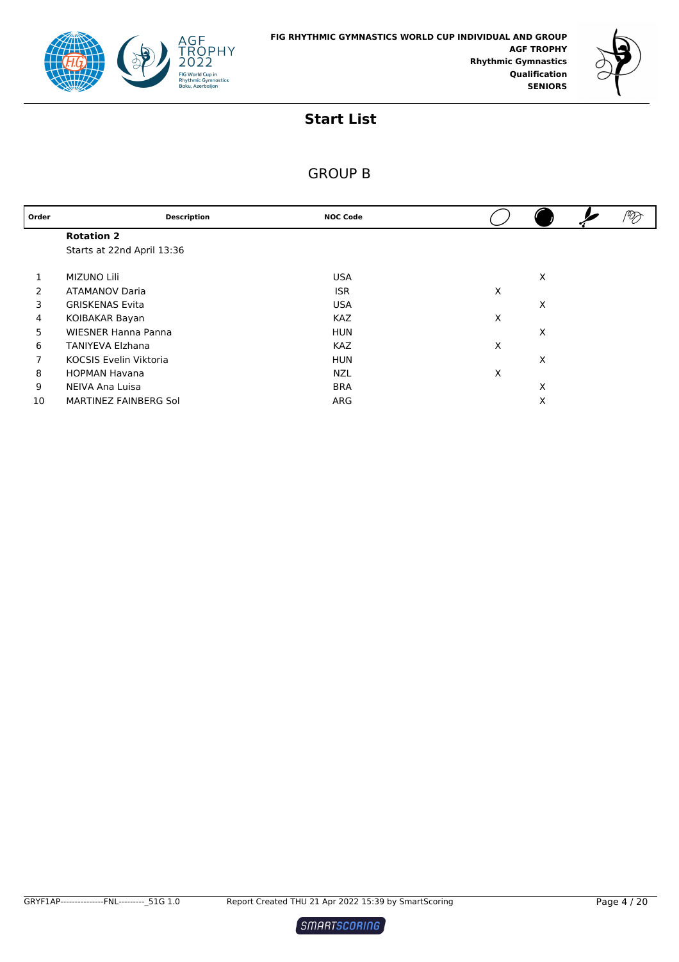



| Order | <b>Description</b>            | <b>NOC Code</b> |   |   |  |
|-------|-------------------------------|-----------------|---|---|--|
|       | <b>Rotation 2</b>             |                 |   |   |  |
|       | Starts at 22nd April 13:36    |                 |   |   |  |
|       | <b>MIZUNO Lili</b>            | <b>USA</b>      |   | X |  |
| 2     | <b>ATAMANOV Daria</b>         | <b>ISR</b>      | X |   |  |
| 3     | <b>GRISKENAS Evita</b>        | <b>USA</b>      |   | X |  |
| 4     | KOIBAKAR Bayan                | <b>KAZ</b>      | X |   |  |
| 5     | <b>WIESNER Hanna Panna</b>    | <b>HUN</b>      |   | X |  |
| 6     | <b>TANIYEVA Elzhana</b>       | <b>KAZ</b>      | X |   |  |
| 7     | <b>KOCSIS Evelin Viktoria</b> | <b>HUN</b>      |   | X |  |
| 8     | <b>HOPMAN Havana</b>          | <b>NZL</b>      | X |   |  |
| 9     | NEIVA Ana Luisa               | <b>BRA</b>      |   | X |  |
| 10    | MARTINEZ FAINBERG Sol         | ARG             |   | X |  |

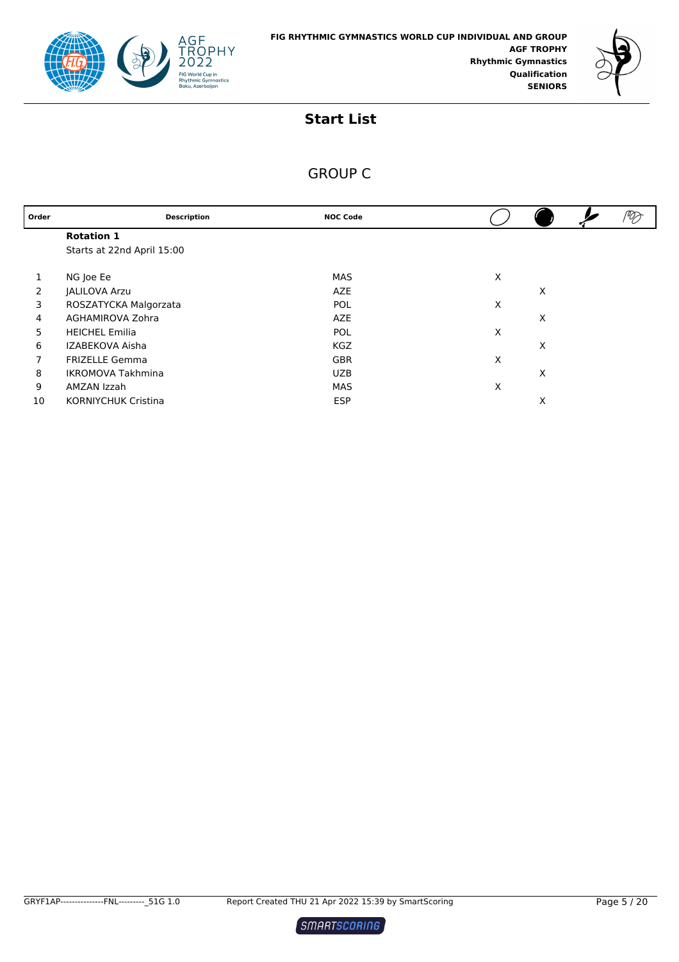



| <b>Description</b>         | <b>NOC Code</b> |     |   | V |
|----------------------------|-----------------|-----|---|---|
| <b>Rotation 1</b>          |                 |     |   |   |
| Starts at 22nd April 15:00 |                 |     |   |   |
|                            |                 |     |   |   |
|                            |                 |     |   |   |
| <b>JALILOVA Arzu</b>       | AZE             |     | X |   |
| ROSZATYCKA Malgorzata      | <b>POL</b>      | X   |   |   |
| AGHAMIROVA Zohra           | <b>AZE</b>      |     | X |   |
| <b>HEICHEL Emilia</b>      | <b>POL</b>      | X   |   |   |
| IZABEKOVA Aisha            | <b>KGZ</b>      |     | X |   |
| <b>FRIZELLE Gemma</b>      | <b>GBR</b>      | X   |   |   |
| <b>IKROMOVA Takhmina</b>   | <b>UZB</b>      |     | X |   |
| AMZAN Izzah                | MAS             | X   |   |   |
| <b>KORNIYCHUK Cristina</b> | <b>ESP</b>      |     | X |   |
|                            | NG Joe Ee       | MAS | X |   |

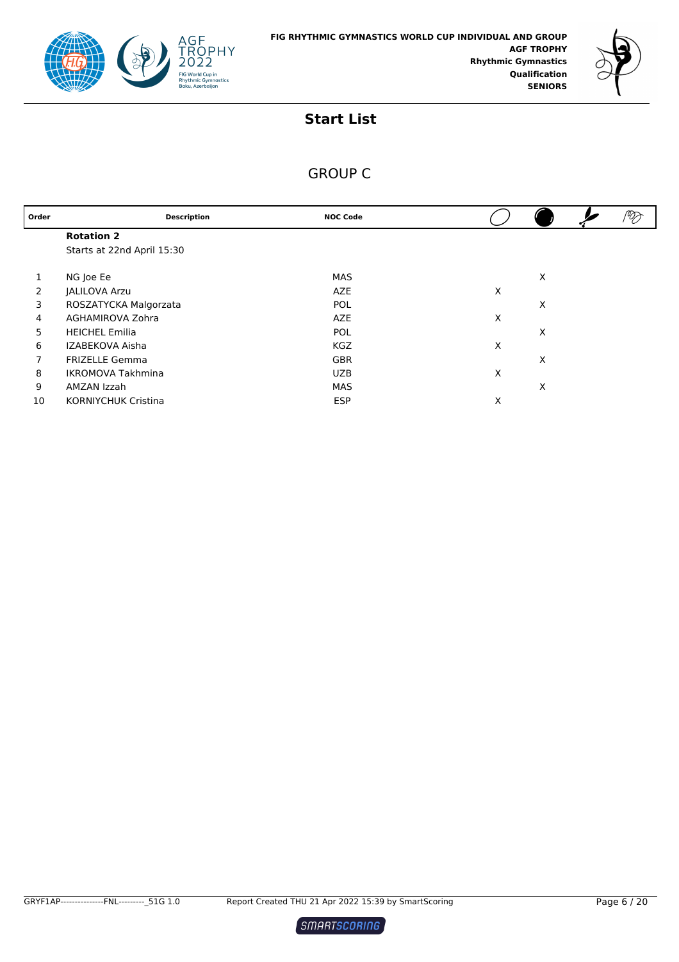



| Order | <b>Description</b>         | <b>NOC Code</b> |   | V |
|-------|----------------------------|-----------------|---|---|
|       | <b>Rotation 2</b>          |                 |   |   |
|       | Starts at 22nd April 15:30 |                 |   |   |
|       |                            |                 |   |   |
|       | NG Joe Ee                  | MAS             | X |   |
| 2     | JALILOVA Arzu              | <b>AZE</b>      | X |   |
| 3     | ROSZATYCKA Malgorzata      | POL             | X |   |
| 4     | AGHAMIROVA Zohra           | AZE             | X |   |
| 5     | <b>HEICHEL Emilia</b>      | <b>POL</b>      | X |   |
| 6     | IZABEKOVA Aisha            | <b>KGZ</b>      | X |   |
| 7     | <b>FRIZELLE Gemma</b>      | <b>GBR</b>      | X |   |
| 8     | <b>IKROMOVA Takhmina</b>   | <b>UZB</b>      | X |   |
| 9     | AMZAN Izzah                | MAS             | X |   |
| 10    | <b>KORNIYCHUK Cristina</b> | <b>ESP</b>      | X |   |

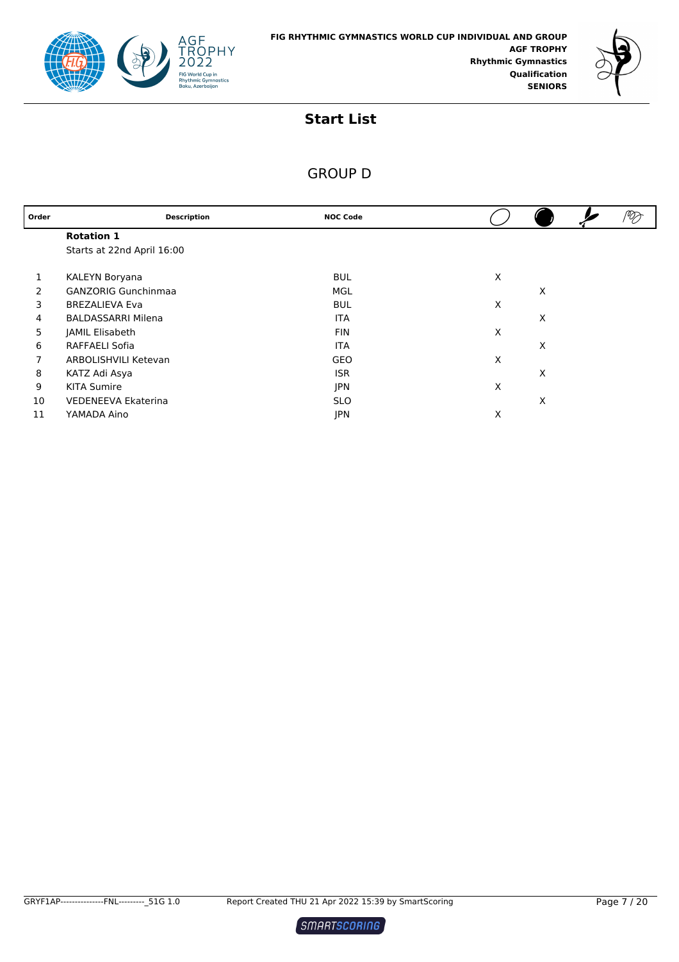



| Order | <b>Description</b>         | <b>NOC Code</b> |   |   | PØJ |
|-------|----------------------------|-----------------|---|---|-----|
|       | <b>Rotation 1</b>          |                 |   |   |     |
|       | Starts at 22nd April 16:00 |                 |   |   |     |
|       | KALEYN Boryana             | <b>BUL</b>      | X |   |     |
| 2     | <b>GANZORIG Gunchinmaa</b> | MGL             |   | X |     |
| 3     | <b>BREZALIEVA Eva</b>      | <b>BUL</b>      | X |   |     |
| 4     | <b>BALDASSARRI Milena</b>  | <b>ITA</b>      |   | X |     |
| 5     | JAMIL Elisabeth            | <b>FIN</b>      | X |   |     |
| 6     | RAFFAELI Sofia             | <b>ITA</b>      |   | X |     |
| 7     | ARBOLISHVILI Ketevan       | GEO             | X |   |     |
| 8     | KATZ Adi Asya              | <b>ISR</b>      |   | X |     |
| 9     | <b>KITA Sumire</b>         | <b>JPN</b>      | X |   |     |
| 10    | <b>VEDENEEVA Ekaterina</b> | <b>SLO</b>      |   | X |     |
| 11    | YAMADA Aino                | <b>JPN</b>      | X |   |     |

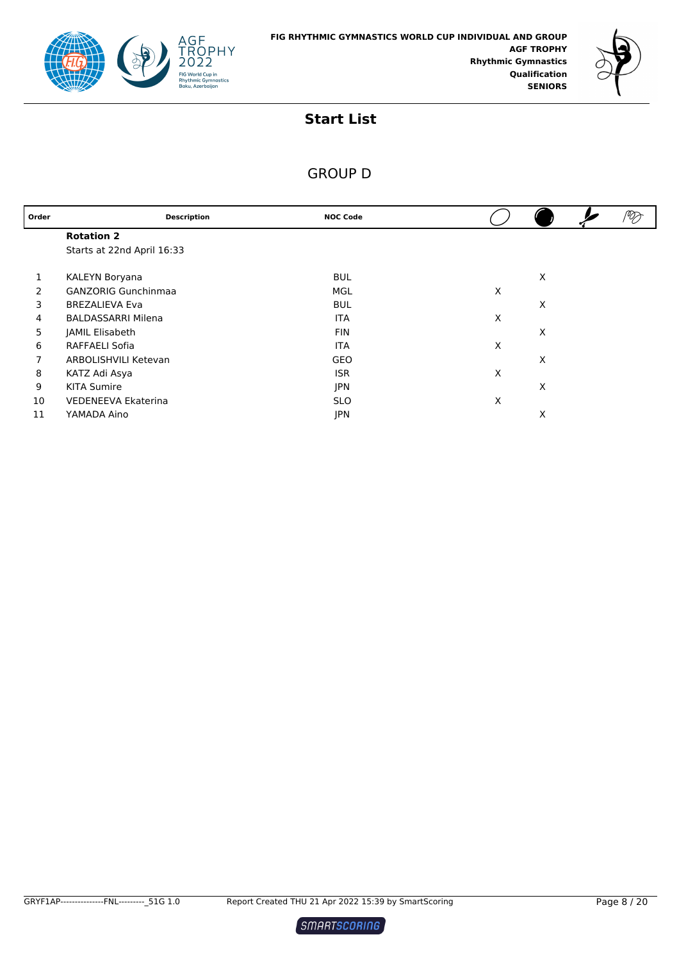



| Order | <b>Description</b>         | <b>NOC Code</b> |   |   |  |
|-------|----------------------------|-----------------|---|---|--|
|       | <b>Rotation 2</b>          |                 |   |   |  |
|       | Starts at 22nd April 16:33 |                 |   |   |  |
|       | KALEYN Boryana             | <b>BUL</b>      |   | X |  |
| 2     | <b>GANZORIG Gunchinmaa</b> | MGL             | X |   |  |
| 3     | <b>BREZALIEVA Eva</b>      | <b>BUL</b>      |   | X |  |
| 4     | <b>BALDASSARRI Milena</b>  | <b>ITA</b>      | Χ |   |  |
| 5     | JAMIL Elisabeth            | <b>FIN</b>      |   | X |  |
| 6     | RAFFAELI Sofia             | <b>ITA</b>      | X |   |  |
| 7     | ARBOLISHVILI Ketevan       | <b>GEO</b>      |   | X |  |
| 8     | KATZ Adi Asya              | <b>ISR</b>      | X |   |  |
| 9     | <b>KITA Sumire</b>         | <b>JPN</b>      |   | X |  |
| 10    | <b>VEDENEEVA Ekaterina</b> | <b>SLO</b>      | Х |   |  |
| 11    | YAMADA Aino                | <b>JPN</b>      |   | X |  |

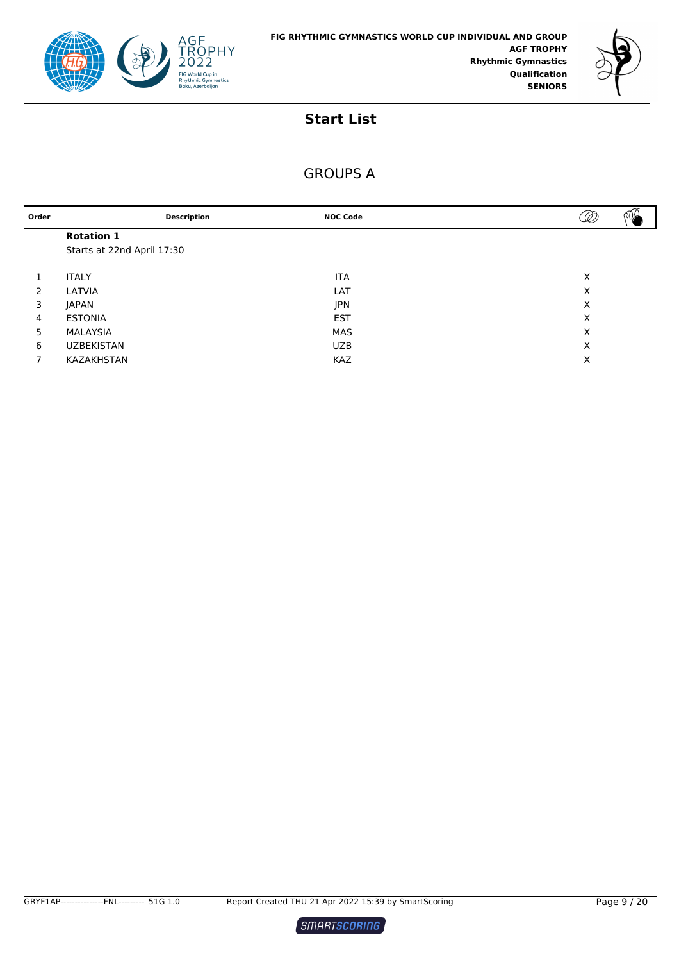



| Order | <b>Description</b>         | <b>NOC Code</b> | D |
|-------|----------------------------|-----------------|---|
|       | <b>Rotation 1</b>          |                 |   |
|       | Starts at 22nd April 17:30 |                 |   |
|       |                            |                 |   |
|       | <b>ITALY</b>               | <b>ITA</b>      | X |
| 2     | LATVIA                     | LAT             | X |
| 3     | <b>JAPAN</b>               | JPN             | Х |
| 4     | <b>ESTONIA</b>             | <b>EST</b>      | X |
| 5     | MALAYSIA                   | <b>MAS</b>      | X |
| 6     | <b>UZBEKISTAN</b>          | <b>UZB</b>      | X |
|       | KAZAKHSTAN                 | <b>KAZ</b>      | Х |
|       |                            |                 |   |

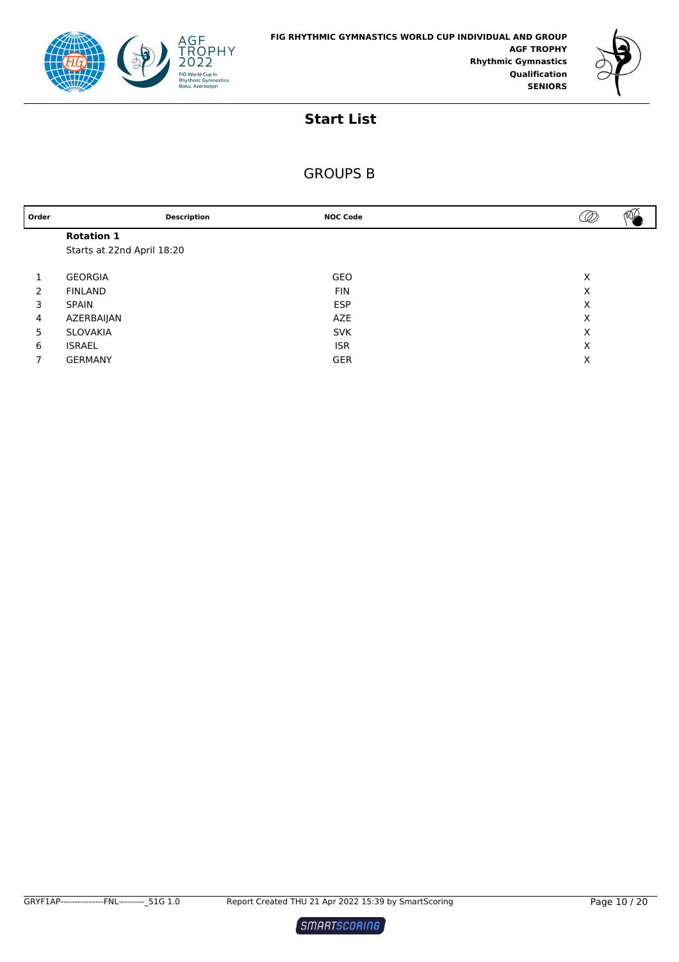



| Order |                            | <b>Description</b> | <b>NOC Code</b> | Ø | $\sqrt{2}$ |
|-------|----------------------------|--------------------|-----------------|---|------------|
|       | <b>Rotation 1</b>          |                    |                 |   |            |
|       | Starts at 22nd April 18:20 |                    |                 |   |            |
|       |                            |                    |                 |   |            |
|       | <b>GEORGIA</b>             |                    | GEO             | X |            |
| 2     | <b>FINLAND</b>             |                    | <b>FIN</b>      | X |            |
| 3     | <b>SPAIN</b>               |                    | <b>ESP</b>      | X |            |
| 4     | AZERBAIJAN                 |                    | AZE             | X |            |
| 5     | SLOVAKIA                   |                    | <b>SVK</b>      | X |            |
| 6     | <b>ISRAEL</b>              |                    | <b>ISR</b>      | X |            |
|       | GERMANY                    |                    | <b>GER</b>      | X |            |
|       |                            |                    |                 |   |            |

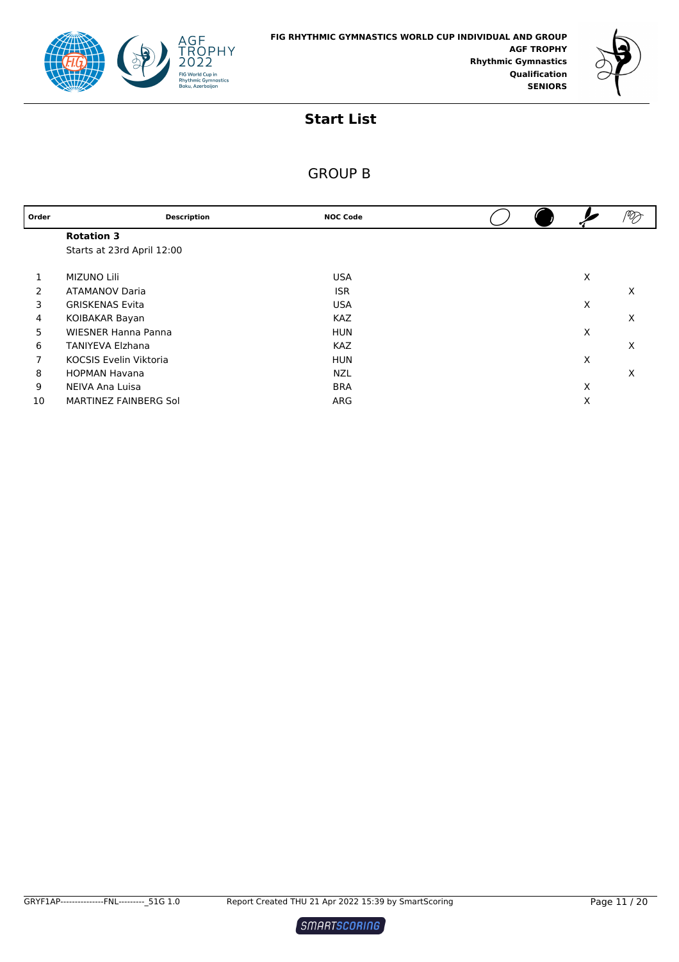



| Order | <b>Description</b>            | <b>NOC Code</b> |   | V) |
|-------|-------------------------------|-----------------|---|----|
|       | <b>Rotation 3</b>             |                 |   |    |
|       | Starts at 23rd April 12:00    |                 |   |    |
|       |                               |                 |   |    |
| 1     | MIZUNO Lili                   | <b>USA</b>      | X |    |
| 2     | <b>ATAMANOV Daria</b>         | <b>ISR</b>      |   | X  |
| 3     | <b>GRISKENAS Evita</b>        | <b>USA</b>      | X |    |
| 4     | KOIBAKAR Bayan                | <b>KAZ</b>      |   | X  |
| 5     | <b>WIESNER Hanna Panna</b>    | <b>HUN</b>      | X |    |
| 6     | <b>TANIYEVA Elzhana</b>       | <b>KAZ</b>      |   | X  |
| 7     | <b>KOCSIS Evelin Viktoria</b> | <b>HUN</b>      | X |    |
| 8     | <b>HOPMAN Havana</b>          | <b>NZL</b>      |   | X  |
| 9     | NEIVA Ana Luisa               | <b>BRA</b>      | X |    |
| 10    | MARTINEZ FAINBERG Sol         | ARG             | X |    |

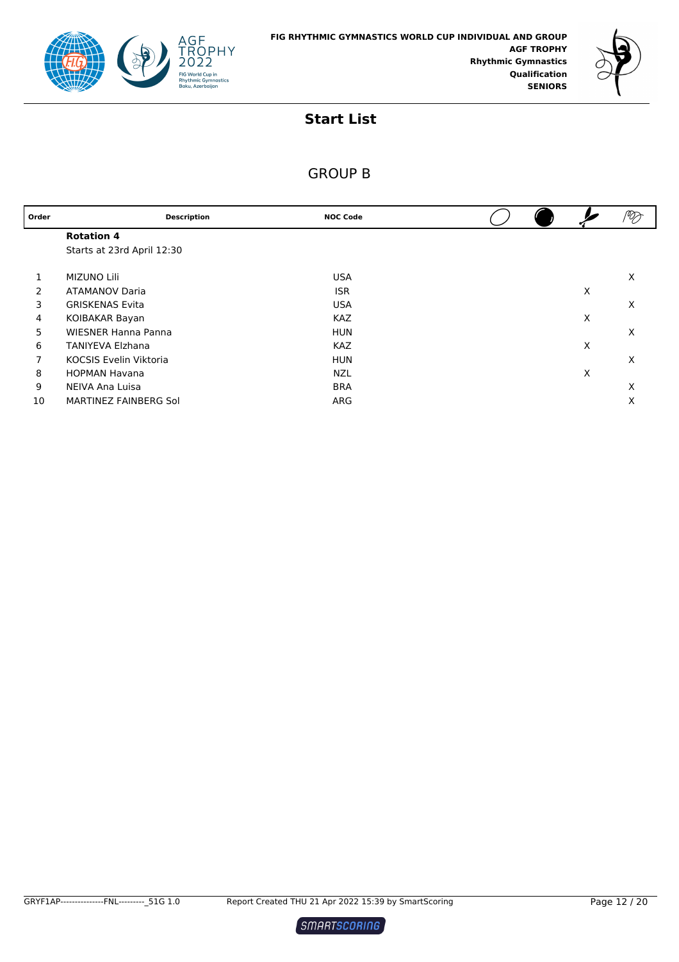



| Order | <b>Description</b>            | <b>NOC Code</b> |   | $\mathscr{D}_{\!\!\mathscr{D}}$ |
|-------|-------------------------------|-----------------|---|---------------------------------|
|       | <b>Rotation 4</b>             |                 |   |                                 |
|       | Starts at 23rd April 12:30    |                 |   |                                 |
|       |                               |                 |   |                                 |
| 1     | <b>MIZUNO Lili</b>            | <b>USA</b>      |   | X                               |
| 2     | <b>ATAMANOV Daria</b>         | <b>ISR</b>      | X |                                 |
| 3     | <b>GRISKENAS Evita</b>        | <b>USA</b>      |   | X                               |
| 4     | KOIBAKAR Bayan                | <b>KAZ</b>      | X |                                 |
| 5     | <b>WIESNER Hanna Panna</b>    | <b>HUN</b>      |   | X                               |
| 6     | <b>TANIYEVA Elzhana</b>       | <b>KAZ</b>      | X |                                 |
| 7     | <b>KOCSIS Evelin Viktoria</b> | <b>HUN</b>      |   | X                               |
| 8     | <b>HOPMAN Havana</b>          | <b>NZL</b>      | X |                                 |
| 9     | NEIVA Ana Luisa               | <b>BRA</b>      |   | X                               |
| 10    | MARTINEZ FAINBERG Sol         | ARG             |   | X                               |

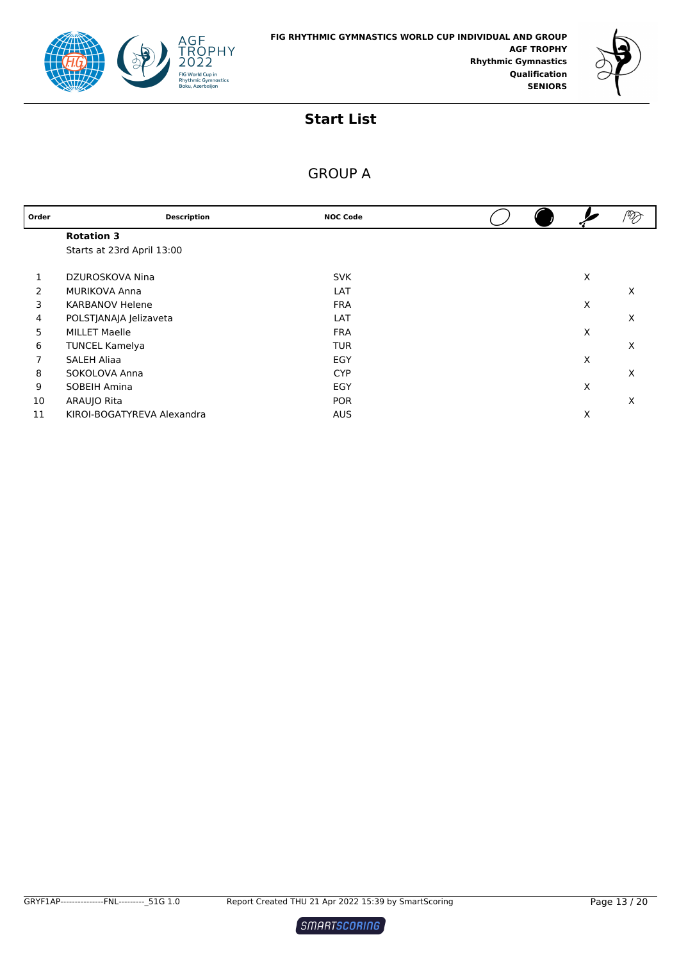



| Order | <b>Description</b>         | <b>NOC Code</b> |  |   | $^\circ\!\!\mathscr{D}$ |
|-------|----------------------------|-----------------|--|---|-------------------------|
|       | <b>Rotation 3</b>          |                 |  |   |                         |
|       | Starts at 23rd April 13:00 |                 |  |   |                         |
|       | DZUROSKOVA Nina            | <b>SVK</b>      |  | X |                         |
| 2     | <b>MURIKOVA Anna</b>       | LAT             |  |   | X                       |
| 3     | <b>KARBANOV Helene</b>     | <b>FRA</b>      |  | X |                         |
| 4     | POLSTJANAJA Jelizaveta     | LAT             |  |   | X                       |
| 5     | <b>MILLET Maelle</b>       | <b>FRA</b>      |  | X |                         |
| 6     | <b>TUNCEL Kamelya</b>      | <b>TUR</b>      |  |   | X                       |
|       | SALEH Aliaa                | EGY             |  | X |                         |
| 8     | SOKOLOVA Anna              | <b>CYP</b>      |  |   | X                       |
| 9     | SOBEIH Amina               | EGY             |  | X |                         |
| 10    | ARAUJO Rita                | <b>POR</b>      |  |   | X                       |
| 11    | KIROI-BOGATYREVA Alexandra | <b>AUS</b>      |  | X |                         |

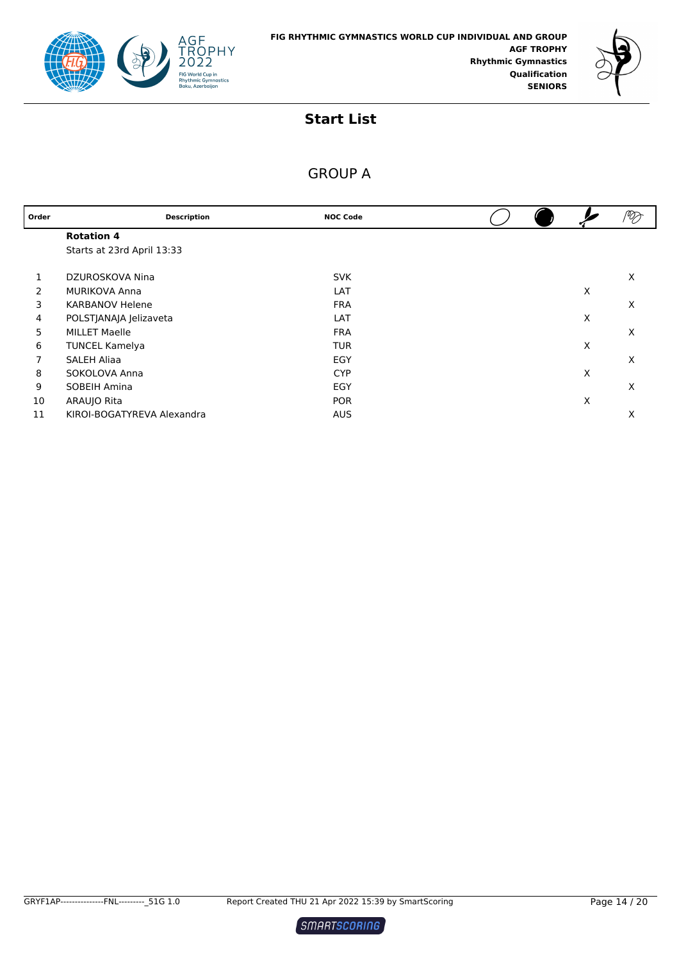



| Order | <b>Description</b>         | <b>NOC Code</b> |  |   | ⅋ |
|-------|----------------------------|-----------------|--|---|---|
|       | <b>Rotation 4</b>          |                 |  |   |   |
|       | Starts at 23rd April 13:33 |                 |  |   |   |
|       | DZUROSKOVA Nina            | <b>SVK</b>      |  |   | X |
| 2     | <b>MURIKOVA Anna</b>       | LAT             |  | X |   |
| 3     | <b>KARBANOV Helene</b>     | <b>FRA</b>      |  |   | X |
| 4     | POLSTJANAJA Jelizaveta     | LAT             |  | X |   |
| 5     | <b>MILLET Maelle</b>       | <b>FRA</b>      |  |   | X |
| 6     | <b>TUNCEL Kamelya</b>      | <b>TUR</b>      |  | X |   |
| 7     | SALEH Aliaa                | EGY             |  |   | X |
| 8     | SOKOLOVA Anna              | <b>CYP</b>      |  | X |   |
| 9     | SOBEIH Amina               | EGY             |  |   | X |
| 10    | ARAUJO Rita                | <b>POR</b>      |  | X |   |
| 11    | KIROI-BOGATYREVA Alexandra | <b>AUS</b>      |  |   | X |

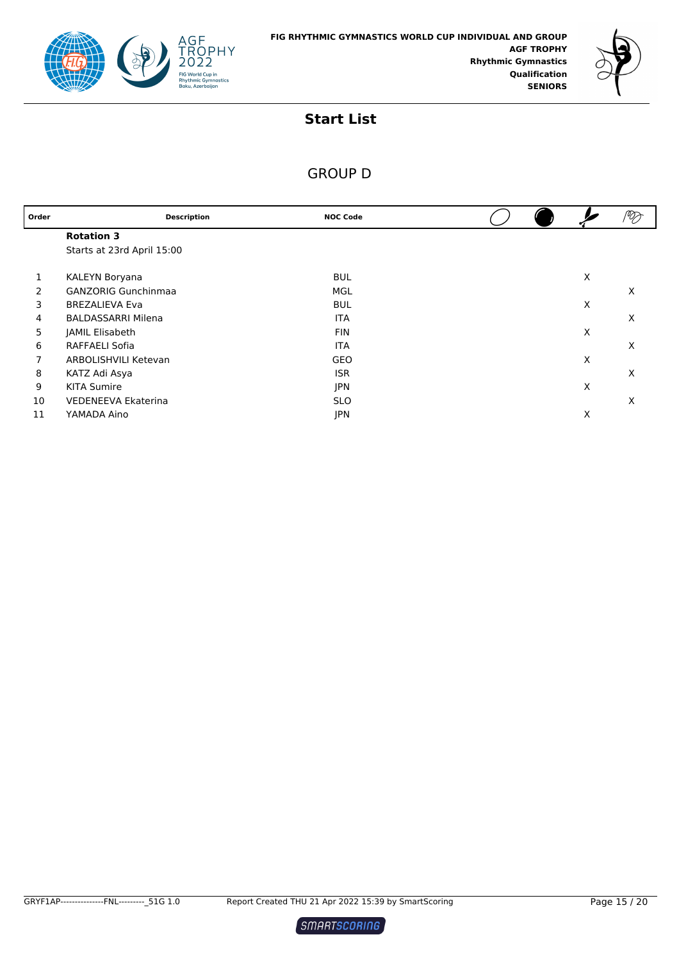



| Order | <b>Description</b>         | <b>NOC Code</b> |  |   | $\mathscr{D}_{\!\!\mathscr{D}}$ |
|-------|----------------------------|-----------------|--|---|---------------------------------|
|       | <b>Rotation 3</b>          |                 |  |   |                                 |
|       | Starts at 23rd April 15:00 |                 |  |   |                                 |
| 1     | KALEYN Boryana             | <b>BUL</b>      |  | X |                                 |
| 2     | <b>GANZORIG Gunchinmaa</b> | MGL             |  |   | X                               |
| 3     | <b>BREZALIEVA Eva</b>      | <b>BUL</b>      |  | X |                                 |
| 4     | <b>BALDASSARRI Milena</b>  | <b>ITA</b>      |  |   | X                               |
| 5     | JAMIL Elisabeth            | <b>FIN</b>      |  | X |                                 |
| 6     | RAFFAELI Sofia             | <b>ITA</b>      |  |   | X                               |
| 7     | ARBOLISHVILI Ketevan       | GEO             |  | X |                                 |
| 8     | KATZ Adi Asya              | <b>ISR</b>      |  |   | X                               |
| 9     | <b>KITA Sumire</b>         | <b>JPN</b>      |  | X |                                 |
| 10    | VEDENEEVA Ekaterina        | <b>SLO</b>      |  |   | X                               |
| 11    | YAMADA Aino                | JPN             |  | X |                                 |

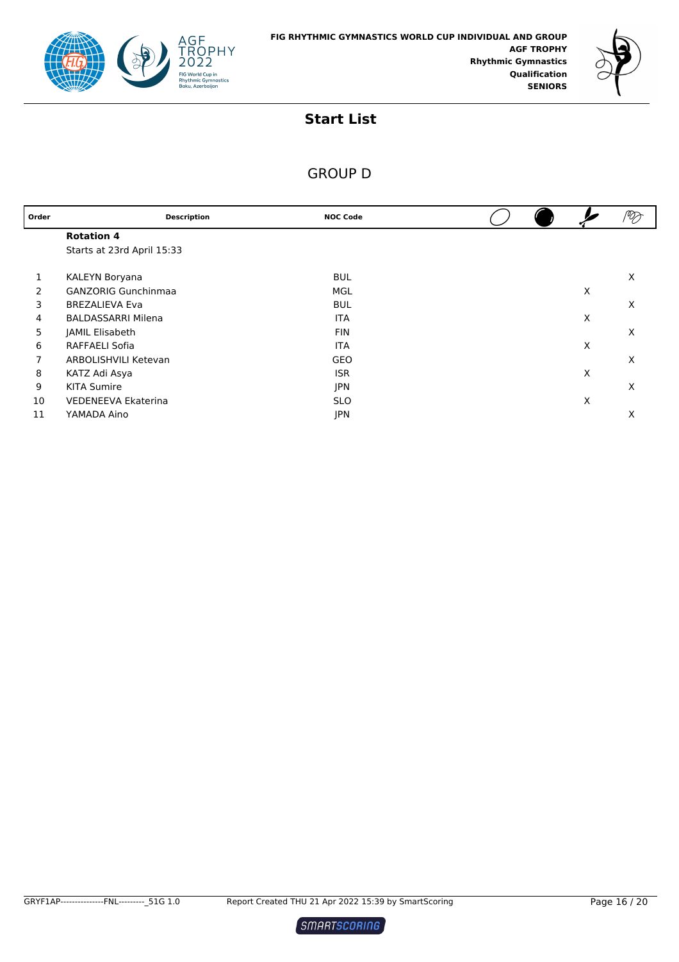



| Order | <b>Description</b>         | <b>NOC Code</b> |  |   |   |
|-------|----------------------------|-----------------|--|---|---|
|       | <b>Rotation 4</b>          |                 |  |   |   |
|       | Starts at 23rd April 15:33 |                 |  |   |   |
| 1     | KALEYN Boryana             | <b>BUL</b>      |  |   | X |
| 2     | <b>GANZORIG Gunchinmaa</b> | MGL             |  | X |   |
| 3     | <b>BREZALIEVA Eva</b>      | <b>BUL</b>      |  |   | X |
| 4     | <b>BALDASSARRI Milena</b>  | <b>ITA</b>      |  | X |   |
| 5     | JAMIL Elisabeth            | <b>FIN</b>      |  |   | X |
| 6     | RAFFAELI Sofia             | <b>ITA</b>      |  | X |   |
| 7     | ARBOLISHVILI Ketevan       | GEO             |  |   | X |
| 8     | KATZ Adi Asya              | <b>ISR</b>      |  | X |   |
| 9     | <b>KITA Sumire</b>         | <b>JPN</b>      |  |   | X |
| 10    | <b>VEDENEEVA Ekaterina</b> | <b>SLO</b>      |  | X |   |
| 11    | YAMADA Aino                | <b>JPN</b>      |  |   | X |

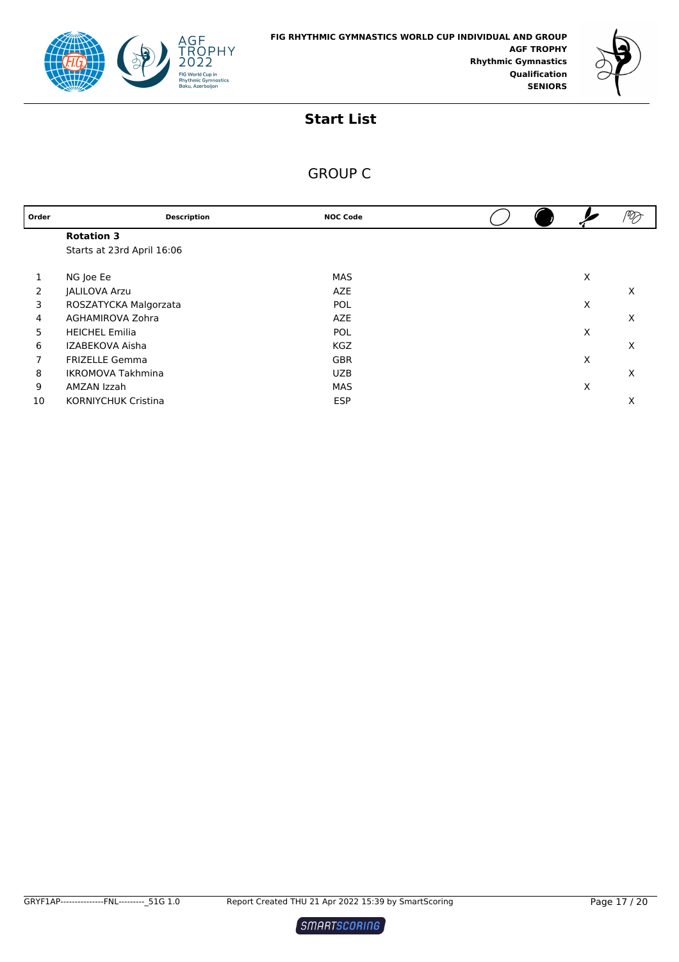



| Order | <b>Description</b>         | <b>NOC Code</b> |  |   |   |
|-------|----------------------------|-----------------|--|---|---|
|       | <b>Rotation 3</b>          |                 |  |   |   |
|       | Starts at 23rd April 16:06 |                 |  |   |   |
|       |                            |                 |  |   |   |
|       | NG Joe Ee                  | <b>MAS</b>      |  | X |   |
| 2     | <b>JALILOVA Arzu</b>       | <b>AZE</b>      |  |   | X |
| 3     | ROSZATYCKA Malgorzata      | <b>POL</b>      |  | X |   |
| 4     | AGHAMIROVA Zohra           | <b>AZE</b>      |  |   | X |
| 5     | <b>HEICHEL Emilia</b>      | <b>POL</b>      |  | X |   |
| 6     | IZABEKOVA Aisha            | <b>KGZ</b>      |  |   | X |
| 7     | <b>FRIZELLE Gemma</b>      | <b>GBR</b>      |  | X |   |
| 8     | <b>IKROMOVA Takhmina</b>   | <b>UZB</b>      |  |   | X |
| 9     | AMZAN Izzah                | MAS             |  | X |   |
| 10    | <b>KORNIYCHUK Cristina</b> | <b>ESP</b>      |  |   | Х |

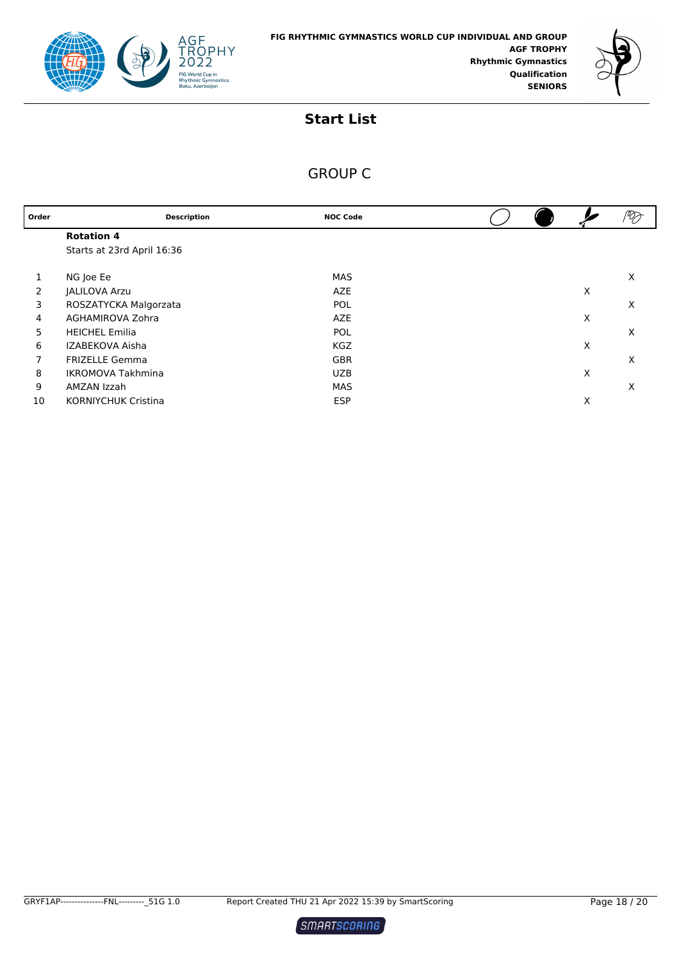



| Order | <b>Description</b>         | <b>NOC Code</b> |  |   | $\mathscr{D}_{\!\!\mathscr{D}}$ |
|-------|----------------------------|-----------------|--|---|---------------------------------|
|       | <b>Rotation 4</b>          |                 |  |   |                                 |
|       | Starts at 23rd April 16:36 |                 |  |   |                                 |
|       |                            |                 |  |   |                                 |
|       | NG Joe Ee                  | <b>MAS</b>      |  |   | X                               |
| 2     | <b>JALILOVA Arzu</b>       | <b>AZE</b>      |  | X |                                 |
| 3     | ROSZATYCKA Malgorzata      | <b>POL</b>      |  |   | X                               |
| 4     | AGHAMIROVA Zohra           | <b>AZE</b>      |  | Х |                                 |
| 5     | <b>HEICHEL Emilia</b>      | <b>POL</b>      |  |   | X                               |
| 6     | IZABEKOVA Aisha            | <b>KGZ</b>      |  | Х |                                 |
| 7     | <b>FRIZELLE Gemma</b>      | <b>GBR</b>      |  |   | X                               |
| 8     | <b>IKROMOVA Takhmina</b>   | <b>UZB</b>      |  | X |                                 |
| 9     | AMZAN Izzah                | MAS             |  |   | X                               |
| 10    | <b>KORNIYCHUK Cristina</b> | <b>ESP</b>      |  | Х |                                 |

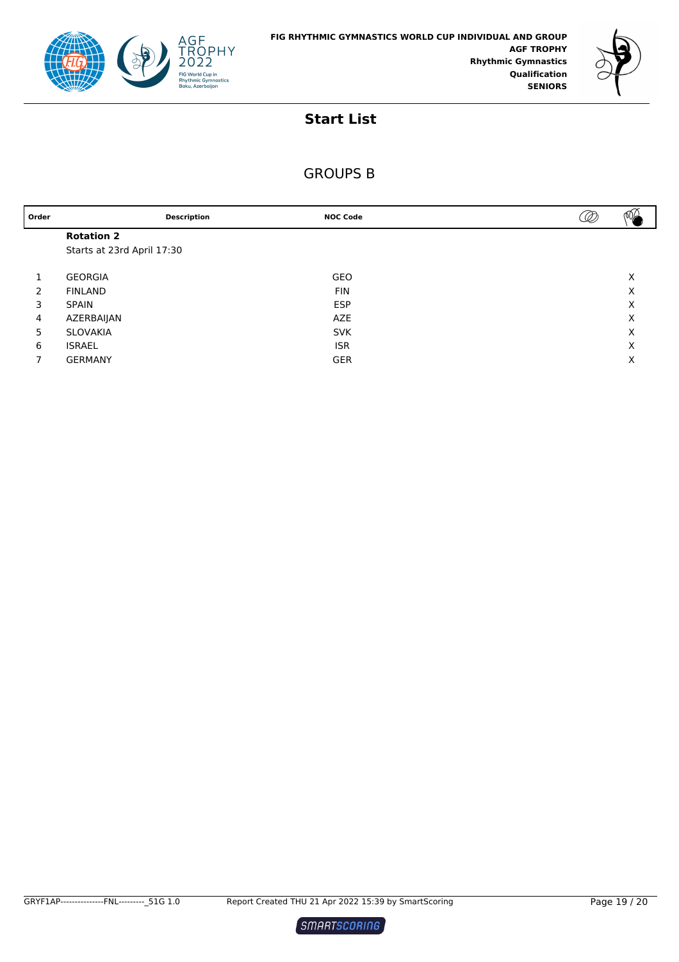



| Order          | <b>Description</b>         | <b>NOC Code</b> | ថ⊈<br> |
|----------------|----------------------------|-----------------|--------|
|                | <b>Rotation 2</b>          |                 |        |
|                | Starts at 23rd April 17:30 |                 |        |
|                |                            |                 |        |
|                | <b>GEORGIA</b>             | <b>GEO</b>      | Х      |
| 2              | <b>FINLAND</b>             | <b>FIN</b>      | X      |
| 3              | <b>SPAIN</b>               | <b>ESP</b>      | X      |
| $\overline{4}$ | AZERBAIJAN                 | <b>AZE</b>      | X      |
| 5              | SLOVAKIA                   | <b>SVK</b>      | X      |
| 6              | ISRAEL                     | <b>ISR</b>      | X      |
| 7              | <b>GERMANY</b>             | <b>GER</b>      | Χ      |